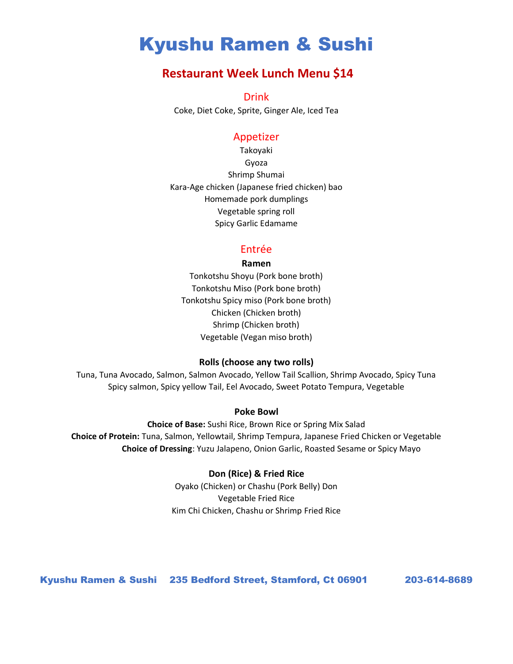# Kyushu Ramen & Sushi

# **Restaurant Week Lunch Menu \$14**

Drink

Coke, Diet Coke, Sprite, Ginger Ale, Iced Tea

### Appetizer

Takoyaki Gyoza Shrimp Shumai Kara-Age chicken (Japanese fried chicken) bao Homemade pork dumplings Vegetable spring roll Spicy Garlic Edamame

### Entrée

### **Ramen**

Tonkotshu Shoyu (Pork bone broth) Tonkotshu Miso (Pork bone broth) Tonkotshu Spicy miso (Pork bone broth) Chicken (Chicken broth) Shrimp (Chicken broth) Vegetable (Vegan miso broth)

### **Rolls (choose any two rolls)**

Tuna, Tuna Avocado, Salmon, Salmon Avocado, Yellow Tail Scallion, Shrimp Avocado, Spicy Tuna Spicy salmon, Spicy yellow Tail, Eel Avocado, Sweet Potato Tempura, Vegetable

### **Poke Bowl**

**Choice of Base:** Sushi Rice, Brown Rice or Spring Mix Salad **Choice of Protein:** Tuna, Salmon, Yellowtail, Shrimp Tempura, Japanese Fried Chicken or Vegetable **Choice of Dressing**: Yuzu Jalapeno, Onion Garlic, Roasted Sesame or Spicy Mayo

### **Don (Rice) & Fried Rice**

Oyako (Chicken) or Chashu (Pork Belly) Don Vegetable Fried Rice Kim Chi Chicken, Chashu or Shrimp Fried Rice

Kyushu Ramen & Sushi 235 Bedford Street, Stamford, Ct 06901 203-614-8689